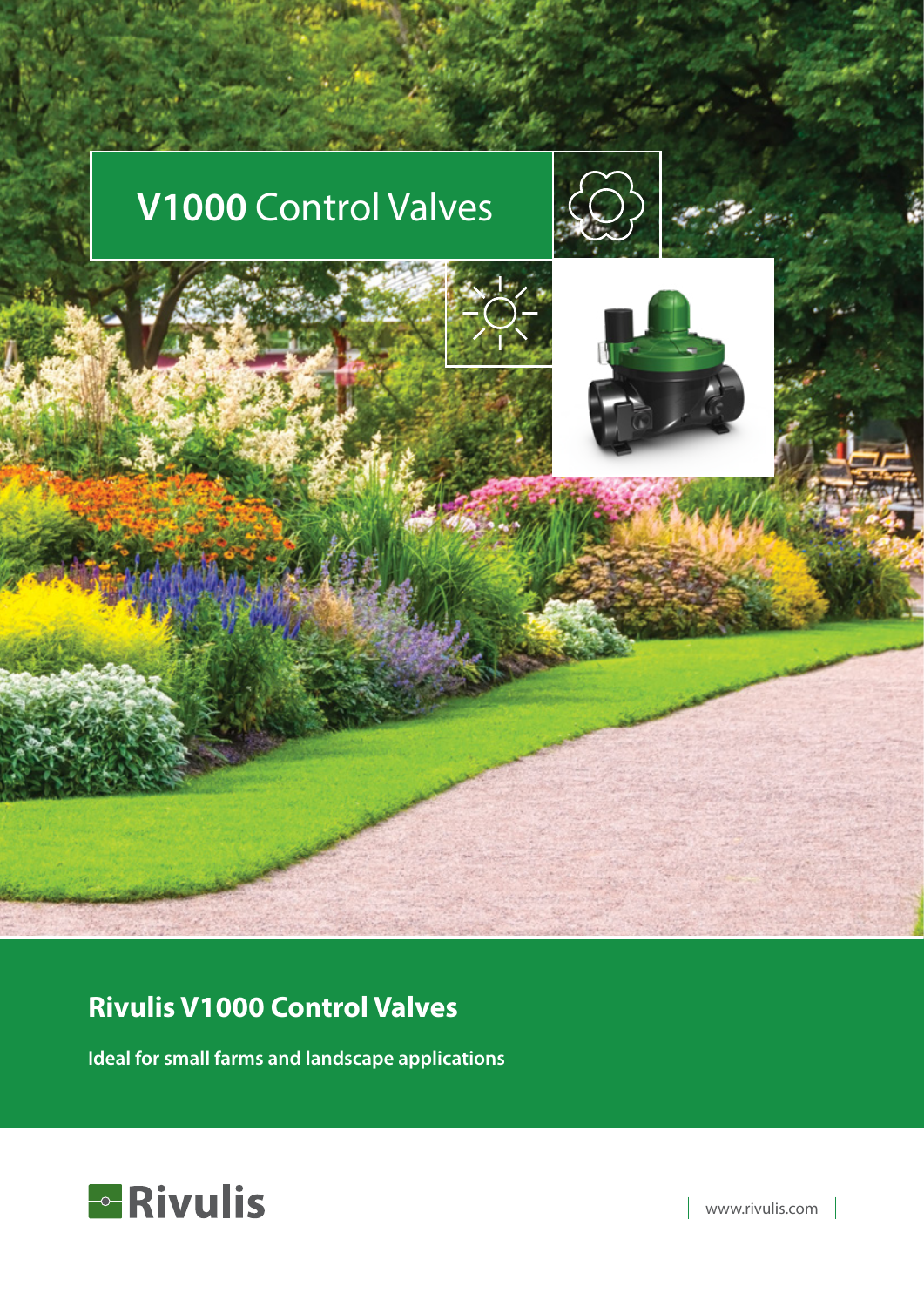

## **Rivulis V1000 Control Valves**

**Ideal for small farms and landscape applications**



www.rivulis.com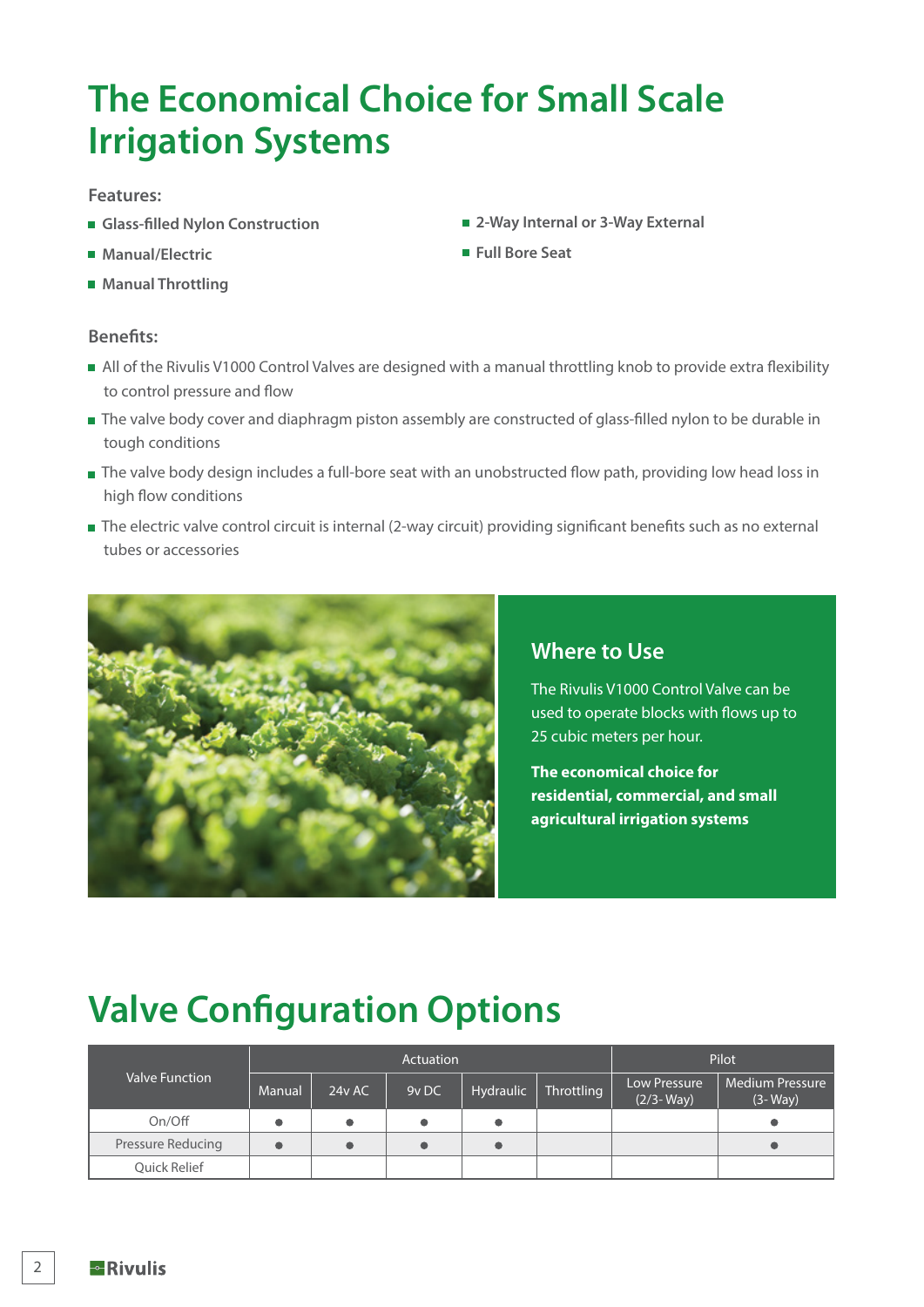# **The Economical Choice for Small Scale Irrigation Systems**

#### **Features:**

- **Glass-filled Nylon Construction**
- **Manual/Electric**
- Manual Throttling

#### **Benefits:**

**Full Bore Seat**

■ 2-Way Internal or 3-Way External

- All of the Rivulis V1000 Control Valves are designed with a manual throttling knob to provide extra flexibility to control pressure and flow
- The valve body cover and diaphragm piston assembly are constructed of glass-filled nylon to be durable in tough conditions
- The valve body design includes a full-bore seat with an unobstructed flow path, providing low head loss in high flow conditions
- The electric valve control circuit is internal (2-way circuit) providing significant benefits such as no external tubes or accessories



### **Where to Use**

The Rivulis V1000 Control Valve can be used to operate blocks with flows up to 25 cubic meters per hour.

**The economical choice for residential, commercial, and small agricultural irrigation systems**

## **Valve Configuration Options**

| Valve Function    |           |        | Actuation | Pilot     |            |                               |                                     |
|-------------------|-----------|--------|-----------|-----------|------------|-------------------------------|-------------------------------------|
|                   | Manual    | 24y AC | 9v DC     | Hydraulic | Throttling | Low Pressure<br>$(2/3 - Way)$ | <b>Medium Pressure</b><br>$(3-Way)$ |
| On/Off            | $\bullet$ |        |           |           |            |                               |                                     |
| Pressure Reducing | $\bullet$ |        |           |           |            |                               |                                     |
| Quick Relief      |           |        |           |           |            |                               |                                     |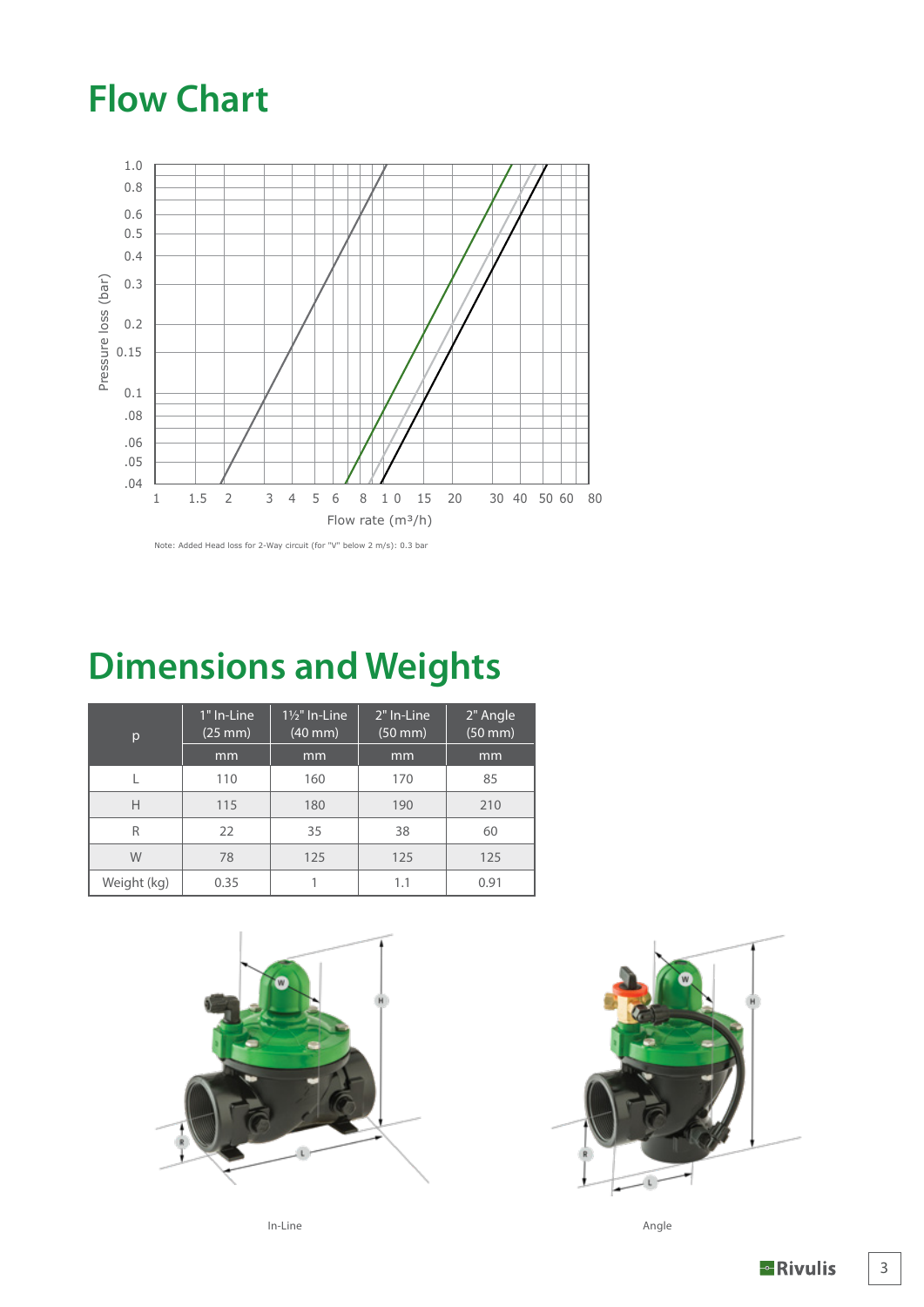## **Flow Chart**



Note: Added Head loss for 2-Way circuit (for "V" below 2 m/s): 0.3 bar

# **Dimensions and Weights**

| p           | 1" In-Line<br>$(25 \text{ mm})$ | $1\frac{1}{2}$ " In-Line<br>$(40$ mm $)$ | 2" In-Line<br>$(50 \text{ mm})$ | 2" Angle<br>$(50$ mm $)$ |
|-------------|---------------------------------|------------------------------------------|---------------------------------|--------------------------|
|             | mm                              | mm                                       | mm                              | mm                       |
|             | 110                             | 160                                      | 170                             | 85                       |
| Н           | 115                             | 180                                      | 190                             | 210                      |
| R           | 22                              | 35                                       | 38                              | 60                       |
| W           | 78                              | 125                                      | 125                             | 125                      |
| Weight (kg) | 0.35                            |                                          | 1.1                             | 0.91                     |



In-Line Angle

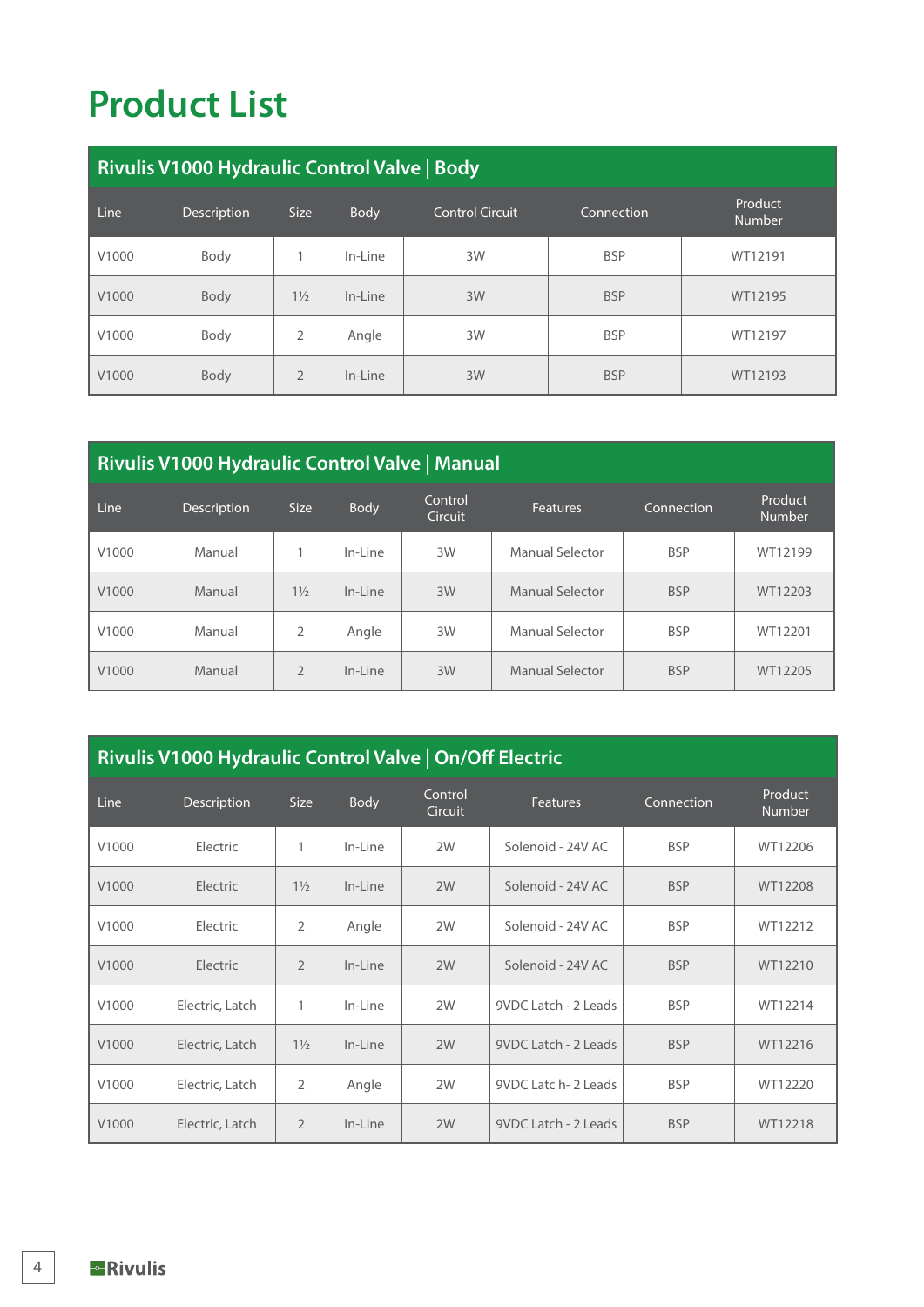# **Product List**

| Rivulis V1000 Hydraulic Control Valve   Body |             |                |             |                        |            |                          |  |  |  |
|----------------------------------------------|-------------|----------------|-------------|------------------------|------------|--------------------------|--|--|--|
| Line                                         | Description | <b>Size</b>    | <b>Body</b> | <b>Control Circuit</b> | Connection | Product<br><b>Number</b> |  |  |  |
| V1000                                        | Body        |                | In-Line     | 3W                     | <b>BSP</b> | WT12191                  |  |  |  |
| V1000                                        | Body        | $1\frac{1}{2}$ | In-Line     | 3W                     | <b>BSP</b> | WT12195                  |  |  |  |
| V1000                                        | Body        | 2              | Angle       | 3W                     | <b>BSP</b> | WT12197                  |  |  |  |
| V <sub>1000</sub>                            | Body        | $\overline{2}$ | In-Line     | 3W                     | <b>BSP</b> | WT12193                  |  |  |  |

| <b>Rivulis V1000 Hydraulic Control Valve   Manual</b> |                    |                |             |                           |                        |            |                          |  |  |  |
|-------------------------------------------------------|--------------------|----------------|-------------|---------------------------|------------------------|------------|--------------------------|--|--|--|
| Line                                                  | <b>Description</b> | <b>Size</b>    | <b>Body</b> | Control<br><b>Circuit</b> | <b>Features</b>        | Connection | Product<br><b>Number</b> |  |  |  |
| V <sub>1000</sub>                                     | Manual             |                | In-Line     | 3W                        | Manual Selector        | <b>BSP</b> | WT12199                  |  |  |  |
| V1000                                                 | Manual             | $1\frac{1}{2}$ | In-Line     | 3W                        | <b>Manual Selector</b> | <b>BSP</b> | WT12203                  |  |  |  |
| V1000                                                 | Manual             | 2              | Angle       | 3W                        | <b>Manual Selector</b> | <b>BSP</b> | WT12201                  |  |  |  |
| V1000                                                 | Manual             | $\overline{2}$ | In-Line     | 3W                        | <b>Manual Selector</b> | <b>BSP</b> | WT12205                  |  |  |  |

### **Rivulis V1000 Hydraulic Control Valve | On/Off Electric**

| Line              | Description     | <b>Size</b>    | <b>Body</b> | Control<br>Circuit | <b>Features</b>      | Connection | Product<br><b>Number</b> |
|-------------------|-----------------|----------------|-------------|--------------------|----------------------|------------|--------------------------|
| V1000             | Electric        | 1              | In-Line     | 2W                 | Solenoid - 24V AC    | <b>BSP</b> | WT12206                  |
| V1000             | <b>Electric</b> | $1\frac{1}{2}$ | In-Line     | 2W                 | Solenoid - 24V AC    | <b>BSP</b> | WT12208                  |
| V1000             | Electric        | 2              | Angle       | 2W                 | Solenoid - 24V AC    | <b>BSP</b> | WT12212                  |
| V <sub>1000</sub> | <b>Electric</b> | $\overline{2}$ | In-Line     | 2W                 | Solenoid - 24V AC    | <b>BSP</b> | WT12210                  |
| V1000             | Electric, Latch | 1              | In-Line     | 2W                 | 9VDC Latch - 2 Leads | <b>BSP</b> | WT12214                  |
| V1000             | Electric, Latch | $1\frac{1}{2}$ | In-Line     | 2W                 | 9VDC Latch - 2 Leads | <b>BSP</b> | WT12216                  |
| V <sub>1000</sub> | Electric, Latch | $\overline{2}$ | Angle       | 2W                 | 9VDC Latc h- 2 Leads | <b>BSP</b> | WT12220                  |
| V1000             | Electric, Latch | $\overline{2}$ | In-Line     | 2W                 | 9VDC Latch - 2 Leads | <b>BSP</b> | WT12218                  |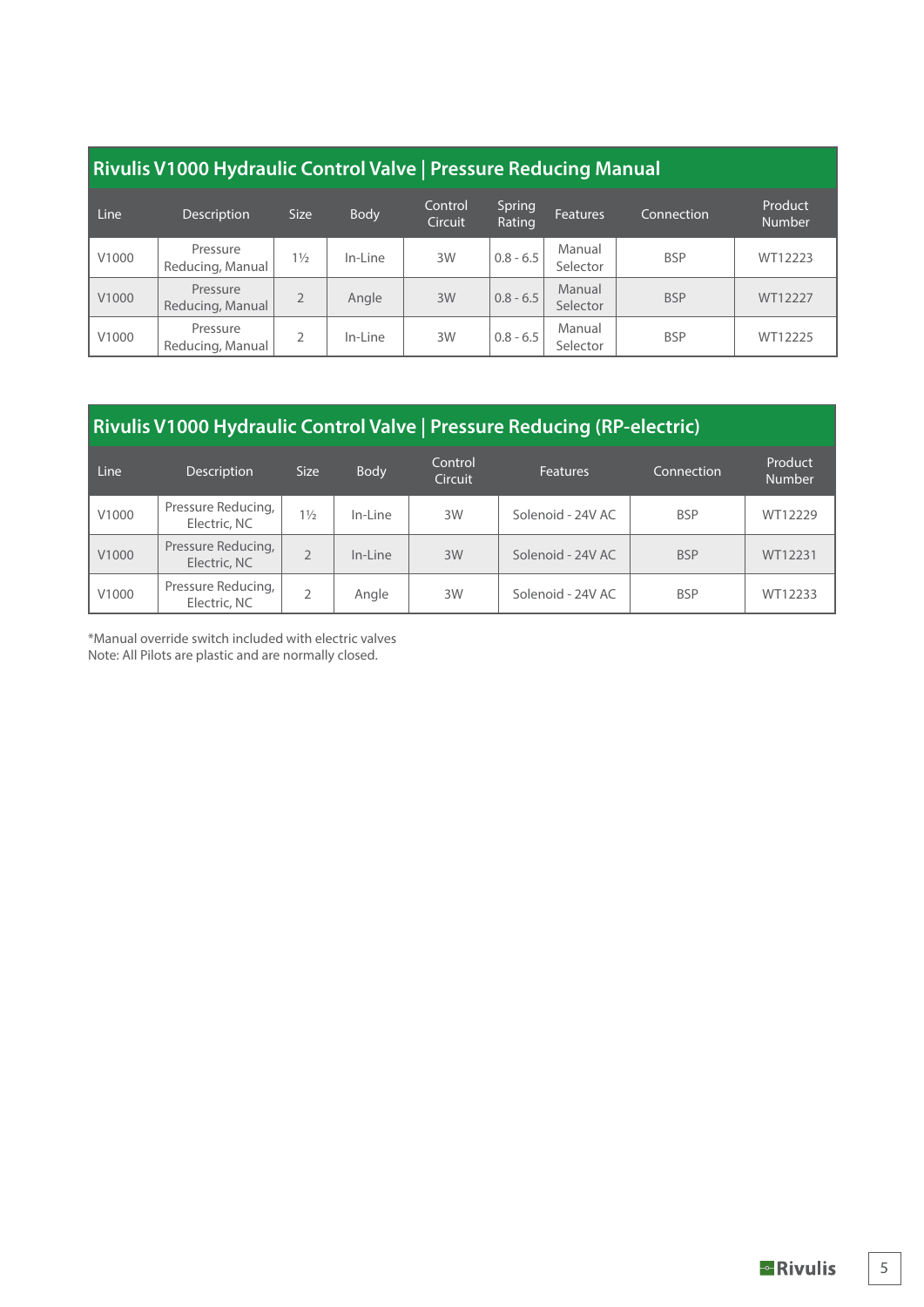| <b>Rivulis V1000 Hydraulic Control Valve   Pressure Reducing Manual</b> |                              |                |             |                    |                  |                    |            |                          |  |
|-------------------------------------------------------------------------|------------------------------|----------------|-------------|--------------------|------------------|--------------------|------------|--------------------------|--|
| Line                                                                    | <b>Description</b>           | <b>Size</b>    | <b>Body</b> | Control<br>Circuit | Spring<br>Rating | <b>Features</b>    | Connection | Product<br><b>Number</b> |  |
| V1000                                                                   | Pressure<br>Reducing, Manual | $1\frac{1}{2}$ | In-Line     | 3W                 | $0.8 - 6.5$      | Manual<br>Selector | <b>BSP</b> | WT12223                  |  |
| V1000                                                                   | Pressure<br>Reducing, Manual | $\overline{2}$ | Angle       | 3W                 | $0.8 - 6.5$      | Manual<br>Selector | <b>BSP</b> | WT12227                  |  |
| V1000                                                                   | Pressure<br>Reducing, Manual | $\mathfrak{D}$ | In-Line     | 3W                 | $0.8 - 6.5$      | Manual<br>Selector | <b>BSP</b> | WT12225                  |  |

### **Rivulis V1000 Hydraulic Control Valve | Pressure Reducing (RP-electric)**

| Line  | <b>Description</b>                 | <b>Size</b>    | <b>Body</b> | Control<br>Circuit | <b>Features</b>   | Connection | Product<br><b>Number</b> |
|-------|------------------------------------|----------------|-------------|--------------------|-------------------|------------|--------------------------|
| V1000 | Pressure Reducing,<br>Electric, NC | $1\frac{1}{2}$ | In-Line     | 3W                 | Solenoid - 24V AC | <b>BSP</b> | WT12229                  |
| V1000 | Pressure Reducing,<br>Electric, NC |                | In-Line     | 3W                 | Solenoid - 24V AC | <b>BSP</b> | WT12231                  |
| V1000 | Pressure Reducing,<br>Electric, NC |                | Angle       | 3W                 | Solenoid - 24V AC | <b>BSP</b> | WT12233                  |

\*Manual override switch included with electric valves Note: All Pilots are plastic and are normally closed.